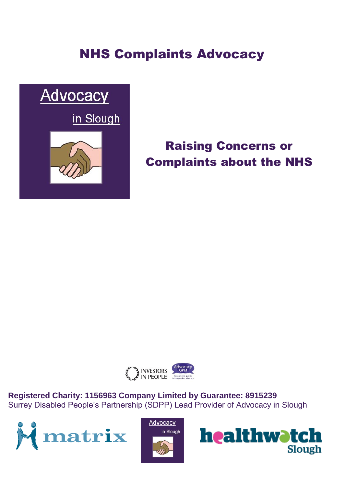# NHS Complaints Advocacy



# Raising Concerns or Complaints about the NHS



**Registered Charity: 1156963 Company Limited by Guarantee: 8915239** Surrey Disabled People's Partnership (SDPP) Lead Provider of Advocacy in Slough





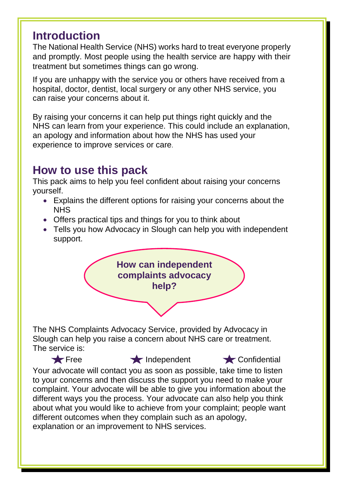### **Introduction**

The National Health Service (NHS) works hard to treat everyone properly and promptly. Most people using the health service are happy with their treatment but sometimes things can go wrong.

If you are unhappy with the service you or others have received from a hospital, doctor, dentist, local surgery or any other NHS service, you can raise your concerns about it.

By raising your concerns it can help put things right quickly and the NHS can learn from your experience. This could include an explanation, an apology and information about how the NHS has used your experience to improve services or care.

## **How to use this pack**

This pack aims to help you feel confident about raising your concerns yourself.

- Explains the different options for raising your concerns about the NHS
- Offers practical tips and things for you to think about
- Tells you how Advocacy in Slough can help you with independent support.



The NHS Complaints Advocacy Service, provided by Advocacy in Slough can help you raise a concern about NHS care or treatment. The service is:

Free **Independent** Confidential Your advocate will contact you as soon as possible, take time to listen to your concerns and then discuss the support you need to make your complaint. Your advocate will be able to give you information about the different ways you the process. Your advocate can also help you think about what you would like to achieve from your complaint; people want different outcomes when they complain such as an apology, explanation or an improvement to NHS services.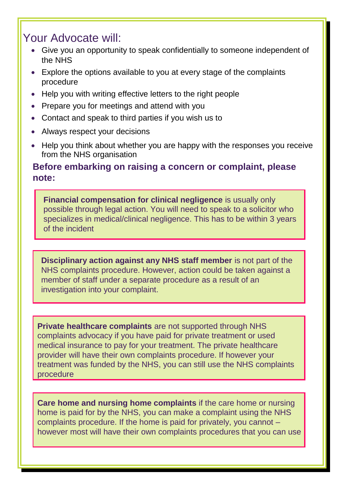### Your Advocate will:

- Give you an opportunity to speak confidentially to someone independent of the NHS
- Explore the options available to you at every stage of the complaints procedure
- Help you with writing effective letters to the right people
- Prepare you for meetings and attend with you
- Contact and speak to third parties if you wish us to
- Always respect your decisions
- Help you think about whether you are happy with the responses you receive from the NHS organisation

### **Before embarking on raising a concern or complaint, please note:**

**Financial compensation for clinical negligence** is usually only possible through legal action. You will need to speak to a solicitor who specializes in medical/clinical negligence. This has to be within 3 years of the incident

**Disciplinary action against any NHS staff member** is not part of the NHS complaints procedure. However, action could be taken against a member of staff under a separate procedure as a result of an investigation into your complaint.

**Private healthcare complaints** are not supported through NHS complaints advocacy if you have paid for private treatment or used medical insurance to pay for your treatment. The private healthcare provider will have their own complaints procedure. If however your treatment was funded by the NHS, you can still use the NHS complaints procedure

**Care home and nursing home complaints** if the care home or nursing home is paid for by the NHS, you can make a complaint using the NHS complaints procedure. If the home is paid for privately, you cannot – however most will have their own complaints procedures that you can use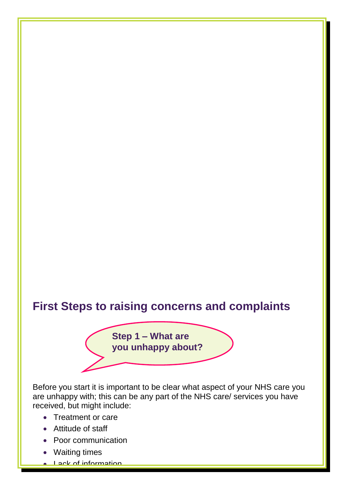## **First Steps to raising concerns and complaints**

**Step 1 – What are you unhappy about?**

Before you start it is important to be clear what aspect of your NHS care you are unhappy with; this can be any part of the NHS care/ services you have received, but might include:

- Treatment or care
- Attitude of staff
- Poor communication
- Waiting times
- Lack of information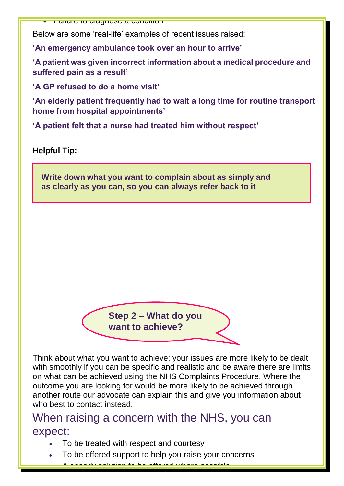Failure to diagnose a condition

Below are some 'real-life' examples of recent issues raised:

**'An emergency ambulance took over an hour to arrive'** 

**'A patient was given incorrect information about a medical procedure and suffered pain as a result'** 

**'A GP refused to do a home visit'** 

**'An elderly patient frequently had to wait a long time for routine transport home from hospital appointments'** 

**'A patient felt that a nurse had treated him without respect'** 

**Helpful Tip:**

**Write down what you want to complain about as simply and as clearly as you can, so you can always refer back to it**

> **Step 2 – What do you want to achieve?**

Think about what you want to achieve; your issues are more likely to be dealt with smoothly if you can be specific and realistic and be aware there are limits on what can be achieved using the NHS Complaints Procedure. Where the outcome you are looking for would be more likely to be achieved through another route our advocate can explain this and give you information about who best to contact instead.

### When raising a concern with the NHS, you can expect:

- To be treated with respect and courtesy
- To be offered support to help you raise your concerns

A speedy solution to be offered where possible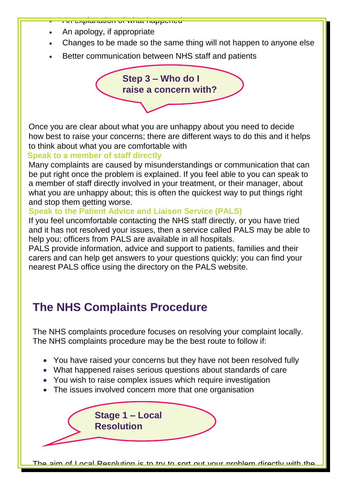

An explanation of what happened

- Changes to be made so the same thing will not happen to anyone else
- Better communication between NHS staff and patients

**Step 3 – Who do I raise a concern with?**

Once you are clear about what you are unhappy about you need to decide how best to raise your concerns; there are different ways to do this and it helps to think about what you are comfortable with

#### **Speak to a member of staff directly**

Many complaints are caused by misunderstandings or communication that can be put right once the problem is explained. If you feel able to you can speak to a member of staff directly involved in your treatment, or their manager, about what you are unhappy about; this is often the quickest way to put things right and stop them getting worse.

#### **Speak to the Patient Advice and Liaison Service (PALS)**

If you feel uncomfortable contacting the NHS staff directly, or you have tried and it has not resolved your issues, then a service called PALS may be able to help you; officers from PALS are available in all hospitals.

PALS provide information, advice and support to patients, families and their carers and can help get answers to your questions quickly; you can find your nearest PALS office using the directory on the PALS website.

## **The NHS Complaints Procedure**

The NHS complaints procedure focuses on resolving your complaint locally. The NHS complaints procedure may be the best route to follow if:

- You have raised your concerns but they have not been resolved fully
- What happened raises serious questions about standards of care
- You wish to raise complex issues which require investigation
- The issues involved concern more that one organisation



The aim of Local Resolution is to try to sort out your problem directly with the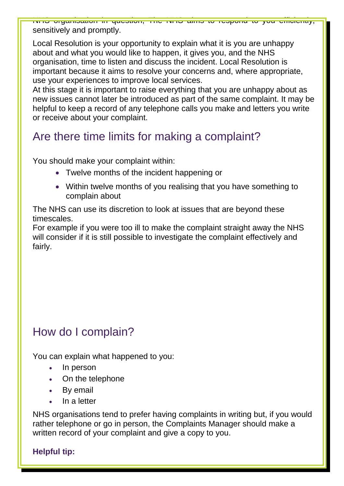NHS organisation in question; The NHS aims to respond to you efficiently, sensitively and promptly.

Local Resolution is your opportunity to explain what it is you are unhappy about and what you would like to happen, it gives you, and the NHS organisation, time to listen and discuss the incident. Local Resolution is important because it aims to resolve your concerns and, where appropriate, use your experiences to improve local services.

At this stage it is important to raise everything that you are unhappy about as new issues cannot later be introduced as part of the same complaint. It may be helpful to keep a record of any telephone calls you make and letters you write or receive about your complaint.

## Are there time limits for making a complaint?

You should make your complaint within:

- Twelve months of the incident happening or
- Within twelve months of you realising that you have something to complain about

The NHS can use its discretion to look at issues that are beyond these timescales.

For example if you were too ill to make the complaint straight away the NHS will consider if it is still possible to investigate the complaint effectively and fairly.

## How do I complain?

You can explain what happened to you:

- In person
- On the telephone
- By email
- In a letter

NHS organisations tend to prefer having complaints in writing but, if you would rather telephone or go in person, the Complaints Manager should make a written record of your complaint and give a copy to you.

### **Helpful tip:**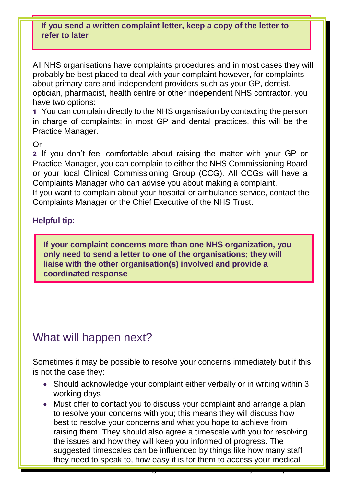#### **If you send a written complaint letter, keep a copy of the letter to refer to later**

All NHS organisations have complaints procedures and in most cases they will probably be best placed to deal with your complaint however, for complaints about primary care and independent providers such as your GP, dentist, optician, pharmacist, health centre or other independent NHS contractor, you have two options:

1 You can complain directly to the NHS organisation by contacting the person in charge of complaints; in most GP and dental practices, this will be the Practice Manager.

#### Or

2 If you don't feel comfortable about raising the matter with your GP or Practice Manager, you can complain to either the NHS Commissioning Board or your local Clinical Commissioning Group (CCG). All CCGs will have a Complaints Manager who can advise you about making a complaint.

If you want to complain about your hospital or ambulance service, contact the Complaints Manager or the Chief Executive of the NHS Trust.

#### **Helpful tip:**

**If your complaint concerns more than one NHS organization, you only need to send a letter to one of the organisations; they will liaise with the other organisation(s) involved and provide a coordinated response**

### What will happen next?

Sometimes it may be possible to resolve your concerns immediately but if this is not the case they:

- Should acknowledge your complaint either verbally or in writing within 3 working days
- Must offer to contact you to discuss your complaint and arrange a plan to resolve your concerns with you; this means they will discuss how best to resolve your concerns and what you hope to achieve from raising them. They should also agree a timescale with you for resolving the issues and how they will keep you informed of progress. The suggested timescales can be influenced by things like how many staff they need to speak to, how easy it is for them to access your medical

records and if other NHS organisations are involved in your complex in your complex in your complex in your co<br>The complaint of the complex in your complex in your complex in your complex in your complex in your complex i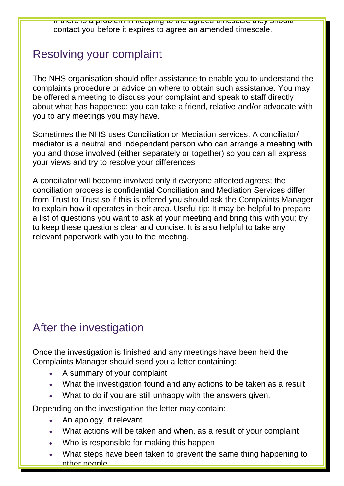If there is a problem in keeping to the agreed timescale they should contact you before it expires to agree an amended timescale.

## Resolving your complaint

The NHS organisation should offer assistance to enable you to understand the complaints procedure or advice on where to obtain such assistance. You may be offered a meeting to discuss your complaint and speak to staff directly about what has happened; you can take a friend, relative and/or advocate with you to any meetings you may have.

Sometimes the NHS uses Conciliation or Mediation services. A conciliator/ mediator is a neutral and independent person who can arrange a meeting with you and those involved (either separately or together) so you can all express your views and try to resolve your differences.

A conciliator will become involved only if everyone affected agrees; the conciliation process is confidential Conciliation and Mediation Services differ from Trust to Trust so if this is offered you should ask the Complaints Manager to explain how it operates in their area. Useful tip: It may be helpful to prepare a list of questions you want to ask at your meeting and bring this with you; try to keep these questions clear and concise. It is also helpful to take any relevant paperwork with you to the meeting.

## After the investigation

Once the investigation is finished and any meetings have been held the Complaints Manager should send you a letter containing:

- A summary of your complaint
- What the investigation found and any actions to be taken as a result
- What to do if you are still unhappy with the answers given.

Depending on the investigation the letter may contain:

- An apology, if relevant
- What actions will be taken and when, as a result of your complaint
- Who is responsible for making this happen
- What steps have been taken to prevent the same thing happening to other people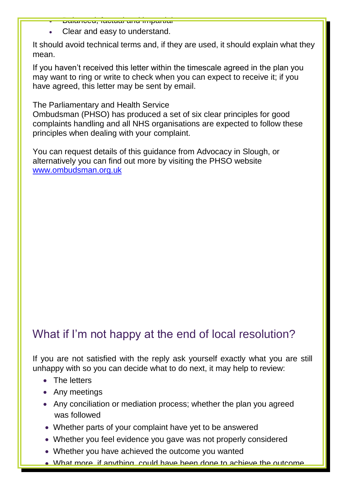- Balanced, factual and impartial
- Clear and easy to understand.

It should avoid technical terms and, if they are used, it should explain what they mean.

If you haven't received this letter within the timescale agreed in the plan you may want to ring or write to check when you can expect to receive it; if you have agreed, this letter may be sent by email.

The Parliamentary and Health Service

Ombudsman (PHSO) has produced a set of six clear principles for good complaints handling and all NHS organisations are expected to follow these principles when dealing with your complaint.

You can request details of this guidance from Advocacy in Slough, or alternatively you can find out more by visiting the PHSO website [www.ombudsman.org.uk](http://www.ombudsman.org.uk/)

## What if I'm not happy at the end of local resolution?

If you are not satisfied with the reply ask yourself exactly what you are still unhappy with so you can decide what to do next, it may help to review:

- The letters
- Any meetings
- Any conciliation or mediation process; whether the plan you agreed was followed
- Whether parts of your complaint have yet to be answered
- Whether you feel evidence you gave was not properly considered
- Whether you have achieved the outcome you wanted
- What more, if anything, could have been done to achieve the outcome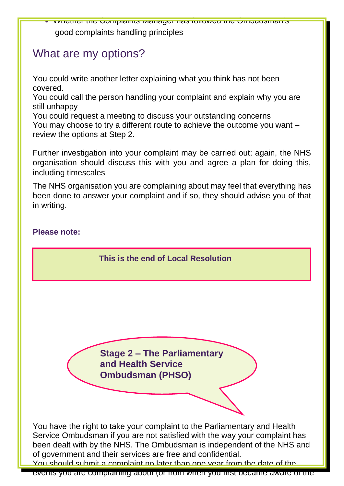Whether the Complaints Manager has followed the Ombudsman's good complaints handling principles

## What are my options?

You could write another letter explaining what you think has not been covered.

You could call the person handling your complaint and explain why you are still unhappy

You could request a meeting to discuss your outstanding concerns You may choose to try a different route to achieve the outcome you want – review the options at Step 2.

Further investigation into your complaint may be carried out; again, the NHS organisation should discuss this with you and agree a plan for doing this, including timescales

The NHS organisation you are complaining about may feel that everything has been done to answer your complaint and if so, they should advise you of that in writing.

#### **Please note:**

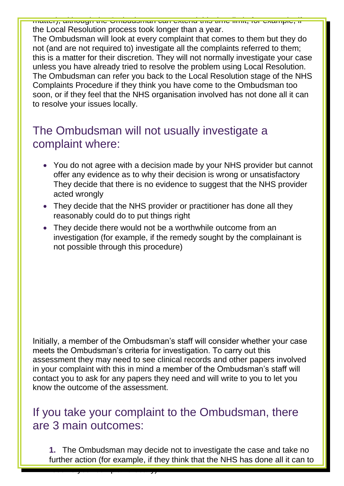matter), although the Ombudsman can extend this time limit, for example, if the Local Resolution process took longer than a year.

The Ombudsman will look at every complaint that comes to them but they do not (and are not required to) investigate all the complaints referred to them; this is a matter for their discretion. They will not normally investigate your case unless you have already tried to resolve the problem using Local Resolution. The Ombudsman can refer you back to the Local Resolution stage of the NHS Complaints Procedure if they think you have come to the Ombudsman too soon, or if they feel that the NHS organisation involved has not done all it can to resolve your issues locally.

## The Ombudsman will not usually investigate a complaint where:

- You do not agree with a decision made by your NHS provider but cannot offer any evidence as to why their decision is wrong or unsatisfactory They decide that there is no evidence to suggest that the NHS provider acted wrongly
- They decide that the NHS provider or practitioner has done all they reasonably could do to put things right
- They decide there would not be a worthwhile outcome from an investigation (for example, if the remedy sought by the complainant is not possible through this procedure)

Initially, a member of the Ombudsman's staff will consider whether your case meets the Ombudsman's criteria for investigation. To carry out this assessment they may need to see clinical records and other papers involved in your complaint with this in mind a member of the Ombudsman's staff will contact you to ask for any papers they need and will write to you to let you know the outcome of the assessment.

### If you take your complaint to the Ombudsman, there are 3 main outcomes:

resolve your complaint locally).

**1.** The Ombudsman may decide not to investigate the case and take no further action (for example, if they think that the NHS has done all it can to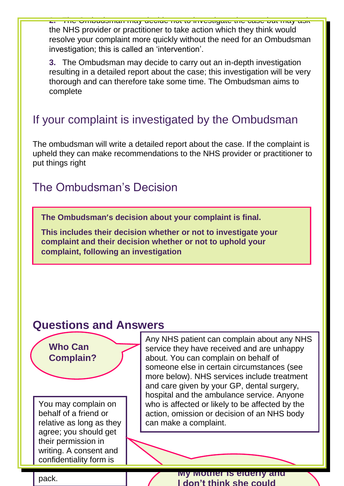**2.** The Ombudsman may decide not to investigate the case but may ask the NHS provider or practitioner to take action which they think would resolve your complaint more quickly without the need for an Ombudsman investigation; this is called an 'intervention'.

**3.** The Ombudsman may decide to carry out an in-depth investigation resulting in a detailed report about the case; this investigation will be very thorough and can therefore take some time. The Ombudsman aims to complete

### If your complaint is investigated by the Ombudsman

The ombudsman will write a detailed report about the case. If the complaint is upheld they can make recommendations to the NHS provider or practitioner to put things right

### The Ombudsman's Decision

**The Ombudsman's decision about your complaint is final.**

**This includes their decision whether or not to investigate your complaint and their decision whether or not to uphold your complaint, following an investigation**

### **Questions and Answers**

You may complain on behalf of a friend or relative as long as they agree; you should get their permission in writing. A consent and confidentiality form is

include with the control of the control of the control of the control of the control of the control of the con<br>In this control of the control of the control of the control of the control of the control of the control of t

**Who Can** 

**Complain?**

Any NHS patient can complain about any NHS service they have received and are unhappy about. You can complain on behalf of someone else in certain circumstances (see more below). NHS services include treatment and care given by your GP, dental surgery, hospital and the ambulance service. Anyone who is affected or likely to be affected by the action, omission or decision of an NHS body can make a complaint.

pack. **My Mother is elderly and pack**. **I don't think she could**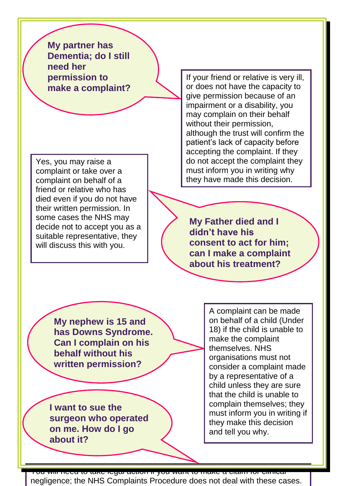**My partner has Dementia; do I still need her permission to make a complaint?**

Yes, you may raise a complaint or take over a complaint on behalf of a friend or relative who has died even if you do not have their written permission. In some cases the NHS may decide not to accept you as a suitable representative, they will discuss this with you.

If your friend or relative is very ill, or does not have the capacity to give permission because of an impairment or a disability, you may complain on their behalf without their permission, although the trust will confirm the patient's lack of capacity before accepting the complaint. If they do not accept the complaint they must inform you in writing why they have made this decision.

**My Father died and I didn't have his consent to act for him; can I make a complaint about his treatment?**

**My nephew is 15 and has Downs Syndrome. Can I complain on his behalf without his written permission?**

**I want to sue the surgeon who operated on me. How do I go about it?**

A complaint can be made on behalf of a child (Under 18) if the child is unable to make the complaint themselves. NHS organisations must not consider a complaint made by a representative of a child unless they are sure that the child is unable to complain themselves; they must inform you in writing if they make this decision and tell you why.

You will need to take legal action if you want to make a claim for clinical negligence; the NHS Complaints Procedure does not deal with these cases.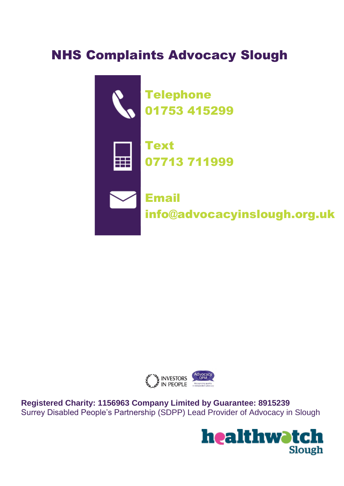# NHS Complaints Advocacy Slough





**Registered Charity: 1156963 Company Limited by Guarantee: 8915239** Surrey Disabled People's Partnership (SDPP) Lead Provider of Advocacy in Slough